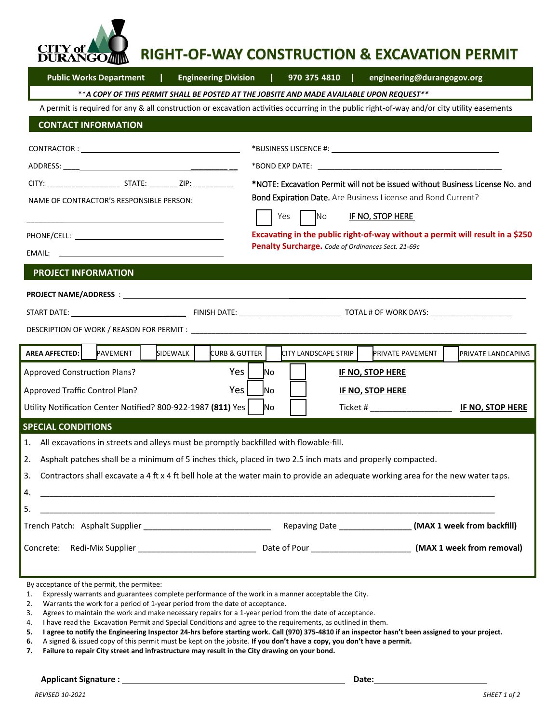## **JRANGO**

## **RIGHT-OF-WAY CONSTRUCTION & EXCAVATION PERMIT**

|                                                                                          |          |                                                                                                                                                                                                                                                                                                                                                                                                                |                          |                                                                                                             |                             |                         | A permit is required for any & all construction or excavation activities occurring in the public right-of-way and/or city utility easements |                    |  |  |
|------------------------------------------------------------------------------------------|----------|----------------------------------------------------------------------------------------------------------------------------------------------------------------------------------------------------------------------------------------------------------------------------------------------------------------------------------------------------------------------------------------------------------------|--------------------------|-------------------------------------------------------------------------------------------------------------|-----------------------------|-------------------------|---------------------------------------------------------------------------------------------------------------------------------------------|--------------------|--|--|
| <b>CONTACT INFORMATION</b>                                                               |          |                                                                                                                                                                                                                                                                                                                                                                                                                |                          |                                                                                                             |                             |                         |                                                                                                                                             |                    |  |  |
|                                                                                          |          |                                                                                                                                                                                                                                                                                                                                                                                                                |                          |                                                                                                             |                             |                         |                                                                                                                                             |                    |  |  |
|                                                                                          |          |                                                                                                                                                                                                                                                                                                                                                                                                                |                          |                                                                                                             |                             |                         |                                                                                                                                             |                    |  |  |
| NAME OF CONTRACTOR'S RESPONSIBLE PERSON:                                                 |          |                                                                                                                                                                                                                                                                                                                                                                                                                |                          | *NOTE: Excavation Permit will not be issued without Business License No. and                                |                             |                         |                                                                                                                                             |                    |  |  |
|                                                                                          |          |                                                                                                                                                                                                                                                                                                                                                                                                                |                          | <b>Bond Expiration Date.</b> Are Business License and Bond Current?<br>No<br>Yes<br><b>IF NO, STOP HERE</b> |                             |                         |                                                                                                                                             |                    |  |  |
|                                                                                          |          |                                                                                                                                                                                                                                                                                                                                                                                                                |                          | Excavating in the public right-of-way without a permit will result in a \$250                               |                             |                         |                                                                                                                                             |                    |  |  |
| EMAIL:                                                                                   |          | Penalty Surcharge. Code of Ordinances Sect. 21-69c                                                                                                                                                                                                                                                                                                                                                             |                          |                                                                                                             |                             |                         |                                                                                                                                             |                    |  |  |
| <b>PROJECT INFORMATION</b>                                                               |          |                                                                                                                                                                                                                                                                                                                                                                                                                |                          |                                                                                                             |                             |                         |                                                                                                                                             |                    |  |  |
|                                                                                          |          |                                                                                                                                                                                                                                                                                                                                                                                                                |                          |                                                                                                             |                             |                         |                                                                                                                                             |                    |  |  |
|                                                                                          |          |                                                                                                                                                                                                                                                                                                                                                                                                                |                          |                                                                                                             |                             |                         |                                                                                                                                             |                    |  |  |
|                                                                                          |          |                                                                                                                                                                                                                                                                                                                                                                                                                |                          |                                                                                                             |                             |                         |                                                                                                                                             |                    |  |  |
|                                                                                          |          |                                                                                                                                                                                                                                                                                                                                                                                                                |                          |                                                                                                             |                             |                         |                                                                                                                                             |                    |  |  |
| <b>AREA AFFECTED:</b>                                                                    | PAVEMENT | SIDEWALK                                                                                                                                                                                                                                                                                                                                                                                                       | <b>CURB &amp; GUTTER</b> |                                                                                                             | <b>CITY LANDSCAPE STRIP</b> |                         | PRIVATE PAVEMENT                                                                                                                            | PRIVATE LANDCAPING |  |  |
| Yes<br><b>Approved Construction Plans?</b>                                               |          |                                                                                                                                                                                                                                                                                                                                                                                                                |                          | No                                                                                                          |                             | <b>IF NO, STOP HERE</b> |                                                                                                                                             |                    |  |  |
| Approved Traffic Control Plan?                                                           |          |                                                                                                                                                                                                                                                                                                                                                                                                                | Yes                      | <b>No</b><br><b>IF NO, STOP HERE</b>                                                                        |                             |                         |                                                                                                                                             |                    |  |  |
| Utility Notification Center Notified? 800-922-1987 (811) Yes                             |          |                                                                                                                                                                                                                                                                                                                                                                                                                |                          | <b>No</b>                                                                                                   |                             |                         |                                                                                                                                             | IF NO, STOP HERE   |  |  |
| <b>SPECIAL CONDITIONS</b>                                                                |          |                                                                                                                                                                                                                                                                                                                                                                                                                |                          |                                                                                                             |                             |                         |                                                                                                                                             |                    |  |  |
| 1. All excavations in streets and alleys must be promptly backfilled with flowable-fill. |          |                                                                                                                                                                                                                                                                                                                                                                                                                |                          |                                                                                                             |                             |                         |                                                                                                                                             |                    |  |  |
|                                                                                          |          |                                                                                                                                                                                                                                                                                                                                                                                                                |                          |                                                                                                             |                             |                         | 2. Asphalt patches shall be a minimum of 5 inches thick, placed in two 2.5 inch mats and properly compacted.                                |                    |  |  |
|                                                                                          |          |                                                                                                                                                                                                                                                                                                                                                                                                                |                          |                                                                                                             |                             |                         | 3. Contractors shall excavate a 4 ft x 4 ft bell hole at the water main to provide an adequate working area for the new water taps.         |                    |  |  |
| 4.                                                                                       |          |                                                                                                                                                                                                                                                                                                                                                                                                                |                          |                                                                                                             |                             |                         |                                                                                                                                             |                    |  |  |
| 5.                                                                                       |          |                                                                                                                                                                                                                                                                                                                                                                                                                |                          |                                                                                                             |                             |                         |                                                                                                                                             |                    |  |  |
|                                                                                          |          |                                                                                                                                                                                                                                                                                                                                                                                                                |                          |                                                                                                             |                             |                         |                                                                                                                                             |                    |  |  |
|                                                                                          |          |                                                                                                                                                                                                                                                                                                                                                                                                                |                          |                                                                                                             |                             |                         |                                                                                                                                             |                    |  |  |
|                                                                                          |          |                                                                                                                                                                                                                                                                                                                                                                                                                |                          |                                                                                                             |                             |                         |                                                                                                                                             |                    |  |  |
| By acceptance of the permit, the permitee:<br>1.<br>2.<br>3.<br>4.                       |          | Expressly warrants and guarantees complete performance of the work in a manner acceptable the City.<br>Warrants the work for a period of 1-year period from the date of acceptance.<br>Agrees to maintain the work and make necessary repairs for a 1-year period from the date of acceptance.<br>I have read the Excavation Permit and Special Conditions and agree to the requirements, as outlined in them. |                          |                                                                                                             |                             |                         |                                                                                                                                             |                    |  |  |

**7. Failure to repair City street and infrastructure may result in the City drawing on your bond.**